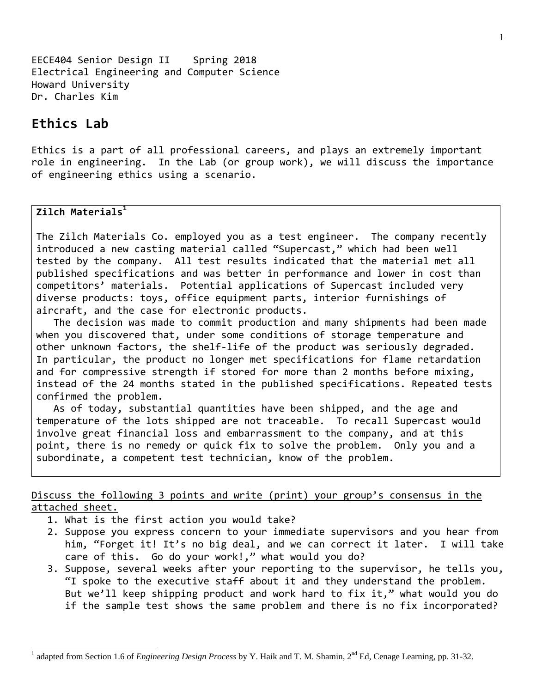EECE404 Senior Design II Spring 2018 Electrical Engineering and Computer Science Howard University Dr. Charles Kim

## **Ethics Lab**

Ethics is a part of all professional careers, and plays an extremely important role in engineering. In the Lab (or group work), we will discuss the importance of engineering ethics using a scenario.

## **Zilch Materials1**

l

The Zilch Materials Co. employed you as a test engineer. The company recently introduced a new casting material called "Supercast," which had been well tested by the company. All test results indicated that the material met all published specifications and was better in performance and lower in cost than competitors' materials. Potential applications of Supercast included very diverse products: toys, office equipment parts, interior furnishings of aircraft, and the case for electronic products.

 The decision was made to commit production and many shipments had been made when you discovered that, under some conditions of storage temperature and other unknown factors, the shelf‐life of the product was seriously degraded. In particular, the product no longer met specifications for flame retardation and for compressive strength if stored for more than 2 months before mixing, instead of the 24 months stated in the published specifications. Repeated tests confirmed the problem.

 As of today, substantial quantities have been shipped, and the age and temperature of the lots shipped are not traceable. To recall Supercast would involve great financial loss and embarrassment to the company, and at this point, there is no remedy or quick fix to solve the problem. Only you and a subordinate, a competent test technician, know of the problem.

## Discuss the following 3 points and write (print) your group's consensus in the attached sheet.

- 1. What is the first action you would take?
- 2. Suppose you express concern to your immediate supervisors and you hear from him, "Forget it! It's no big deal, and we can correct it later. I will take care of this. Go do your work!," what would you do?
- 3. Suppose, several weeks after your reporting to the supervisor, he tells you, "I spoke to the executive staff about it and they understand the problem. But we'll keep shipping product and work hard to fix it," what would you do if the sample test shows the same problem and there is no fix incorporated?

<sup>&</sup>lt;sup>1</sup> adapted from Section 1.6 of *Engineering Design Process* by Y. Haik and T. M. Shamin, 2<sup>nd</sup> Ed, Cenage Learning, pp. 31-32.